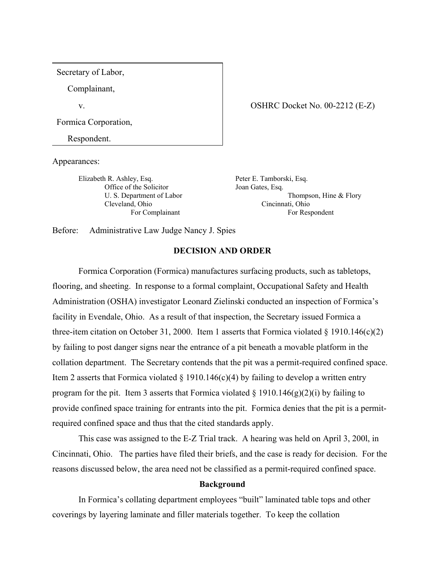Secretary of Labor,

Complainant,

v.

Formica Corporation,

Respondent.

Appearances:

Elizabeth R. Ashley, Esq. Office of the Solicitor U. S. Department of Labor Cleveland, Ohio For Complainant

Peter E. Tamborski, Esq. Joan Gates, Esq. Thompson, Hine & Flory

For Respondent

Cincinnati, Ohio

OSHRC Docket No. 00-2212 (E-Z)

Before: Administrative Law Judge Nancy J. Spies

### **DECISION AND ORDER**

Formica Corporation (Formica) manufactures surfacing products, such as tabletops, flooring, and sheeting. In response to a formal complaint, Occupational Safety and Health Administration (OSHA) investigator Leonard Zielinski conducted an inspection of Formica's facility in Evendale, Ohio. As a result of that inspection, the Secretary issued Formica a three-item citation on October 31, 2000. Item 1 asserts that Formica violated  $\S$  1910.146(c)(2) by failing to post danger signs near the entrance of a pit beneath a movable platform in the collation department. The Secretary contends that the pit was a permit-required confined space. Item 2 asserts that Formica violated  $\S$  1910.146(c)(4) by failing to develop a written entry program for the pit. Item 3 asserts that Formica violated  $\S$  1910.146(g)(2)(i) by failing to provide confined space training for entrants into the pit. Formica denies that the pit is a permitrequired confined space and thus that the cited standards apply.

This case was assigned to the E-Z Trial track. A hearing was held on April 3, 200l, in Cincinnati, Ohio. The parties have filed their briefs, and the case is ready for decision. For the reasons discussed below, the area need not be classified as a permit-required confined space.

## **Background**

In Formica's collating department employees "built" laminated table tops and other coverings by layering laminate and filler materials together. To keep the collation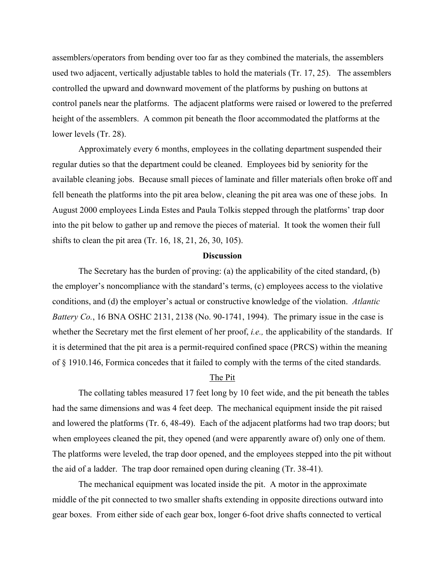assemblers/operators from bending over too far as they combined the materials, the assemblers used two adjacent, vertically adjustable tables to hold the materials (Tr. 17, 25). The assemblers controlled the upward and downward movement of the platforms by pushing on buttons at control panels near the platforms. The adjacent platforms were raised or lowered to the preferred height of the assemblers. A common pit beneath the floor accommodated the platforms at the lower levels (Tr. 28).

Approximately every 6 months, employees in the collating department suspended their regular duties so that the department could be cleaned. Employees bid by seniority for the available cleaning jobs. Because small pieces of laminate and filler materials often broke off and fell beneath the platforms into the pit area below, cleaning the pit area was one of these jobs. In August 2000 employees Linda Estes and Paula Tolkis stepped through the platforms' trap door into the pit below to gather up and remove the pieces of material. It took the women their full shifts to clean the pit area (Tr. 16, 18, 21, 26, 30, 105).

#### **Discussion**

The Secretary has the burden of proving: (a) the applicability of the cited standard, (b) the employer's noncompliance with the standard's terms, (c) employees access to the violative conditions, and (d) the employer's actual or constructive knowledge of the violation. *Atlantic Battery Co.*, 16 BNA OSHC 2131, 2138 (No. 90-1741, 1994). The primary issue in the case is whether the Secretary met the first element of her proof, *i.e.,* the applicability of the standards. If it is determined that the pit area is a permit-required confined space (PRCS) within the meaning of § 1910.146, Formica concedes that it failed to comply with the terms of the cited standards.

#### The Pit

The collating tables measured 17 feet long by 10 feet wide, and the pit beneath the tables had the same dimensions and was 4 feet deep. The mechanical equipment inside the pit raised and lowered the platforms (Tr. 6, 48-49). Each of the adjacent platforms had two trap doors; but when employees cleaned the pit, they opened (and were apparently aware of) only one of them. The platforms were leveled, the trap door opened, and the employees stepped into the pit without the aid of a ladder. The trap door remained open during cleaning (Tr. 38-41).

The mechanical equipment was located inside the pit. A motor in the approximate middle of the pit connected to two smaller shafts extending in opposite directions outward into gear boxes. From either side of each gear box, longer 6-foot drive shafts connected to vertical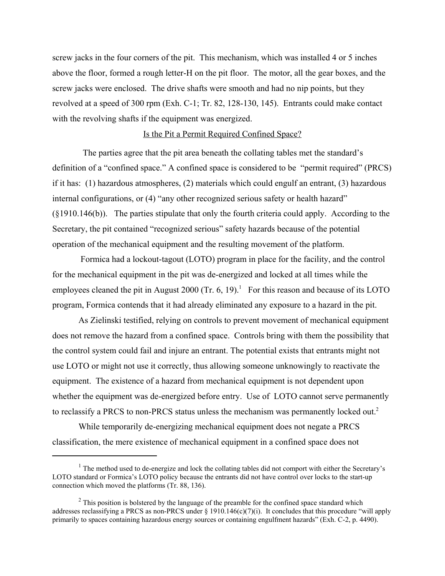screw jacks in the four corners of the pit. This mechanism, which was installed 4 or 5 inches above the floor, formed a rough letter-H on the pit floor. The motor, all the gear boxes, and the screw jacks were enclosed. The drive shafts were smooth and had no nip points, but they revolved at a speed of 300 rpm (Exh. C-1; Tr. 82, 128-130, 145). Entrants could make contact with the revolving shafts if the equipment was energized.

#### Is the Pit a Permit Required Confined Space?

The parties agree that the pit area beneath the collating tables met the standard's definition of a "confined space." A confined space is considered to be "permit required" (PRCS) if it has: (1) hazardous atmospheres, (2) materials which could engulf an entrant, (3) hazardous internal configurations, or (4) "any other recognized serious safety or health hazard" (§1910.146(b)). The parties stipulate that only the fourth criteria could apply. According to the Secretary, the pit contained "recognized serious" safety hazards because of the potential operation of the mechanical equipment and the resulting movement of the platform.

Formica had a lockout-tagout (LOTO) program in place for the facility, and the control for the mechanical equipment in the pit was de-energized and locked at all times while the employees cleaned the pit in August 2000 (Tr. 6, 19).<sup>1</sup> For this reason and because of its LOTO program, Formica contends that it had already eliminated any exposure to a hazard in the pit.

As Zielinski testified, relying on controls to prevent movement of mechanical equipment does not remove the hazard from a confined space. Controls bring with them the possibility that the control system could fail and injure an entrant. The potential exists that entrants might not use LOTO or might not use it correctly, thus allowing someone unknowingly to reactivate the equipment. The existence of a hazard from mechanical equipment is not dependent upon whether the equipment was de-energized before entry. Use of LOTO cannot serve permanently to reclassify a PRCS to non-PRCS status unless the mechanism was permanently locked out.<sup>2</sup>

While temporarily de-energizing mechanical equipment does not negate a PRCS classification, the mere existence of mechanical equipment in a confined space does not

 $<sup>1</sup>$  The method used to de-energize and lock the collating tables did not comport with either the Secretary's</sup> LOTO standard or Formica's LOTO policy because the entrants did not have control over locks to the start-up connection which moved the platforms (Tr. 88, 136).

 $2^2$  This position is bolstered by the language of the preamble for the confined space standard which addresses reclassifying a PRCS as non-PRCS under § 1910.146(c)(7)(i). It concludes that this procedure "will apply primarily to spaces containing hazardous energy sources or containing engulfment hazards" (Exh. C-2, p. 4490).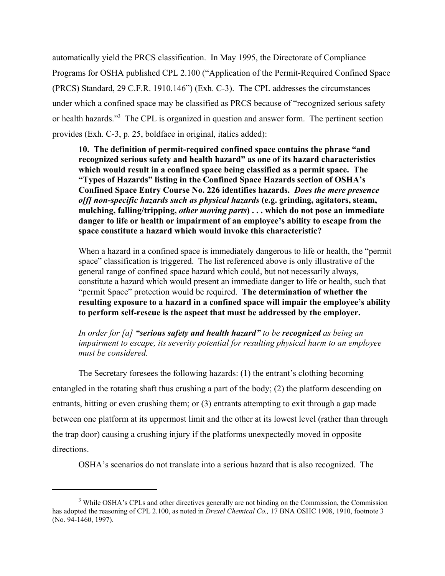automatically yield the PRCS classification. In May 1995, the Directorate of Compliance Programs for OSHA published CPL 2.100 ("Application of the Permit-Required Confined Space (PRCS) Standard, 29 C.F.R. 1910.146") (Exh. C-3). The CPL addresses the circumstances under which a confined space may be classified as PRCS because of "recognized serious safety or health hazards."3 The CPL is organized in question and answer form. The pertinent section provides (Exh. C-3, p. 25, boldface in original, italics added):

**10. The definition of permit-required confined space contains the phrase "and recognized serious safety and health hazard" as one of its hazard characteristics which would result in a confined space being classified as a permit space. The "Types of Hazards" listing in the Confined Space Hazards section of OSHA's Confined Space Entry Course No. 226 identifies hazards.** *Does the mere presence o[f] non-specific hazards such as physical hazards* **(e.g. grinding, agitators, steam, mulching, falling/tripping,** *other moving parts***) . . . which do not pose an immediate danger to life or health or impairment of an employee's ability to escape from the space constitute a hazard which would invoke this characteristic?** 

When a hazard in a confined space is immediately dangerous to life or health, the "permit space" classification is triggered. The list referenced above is only illustrative of the general range of confined space hazard which could, but not necessarily always, constitute a hazard which would present an immediate danger to life or health, such that "permit Space" protection would be required. **The determination of whether the resulting exposure to a hazard in a confined space will impair the employee's ability to perform self-rescue is the aspect that must be addressed by the employer.** 

*In order for [a] "serious safety and health hazard" to be recognized as being an impairment to escape, its severity potential for resulting physical harm to an employee must be considered.* 

The Secretary foresees the following hazards: (1) the entrant's clothing becoming entangled in the rotating shaft thus crushing a part of the body; (2) the platform descending on entrants, hitting or even crushing them; or (3) entrants attempting to exit through a gap made between one platform at its uppermost limit and the other at its lowest level (rather than through the trap door) causing a crushing injury if the platforms unexpectedly moved in opposite directions.

OSHA's scenarios do not translate into a serious hazard that is also recognized. The

<sup>&</sup>lt;sup>3</sup> While OSHA's CPLs and other directives generally are not binding on the Commission, the Commission has adopted the reasoning of CPL 2.100, as noted in *Drexel Chemical Co.,* 17 BNA OSHC 1908, 1910, footnote 3 (No. 94-1460, 1997).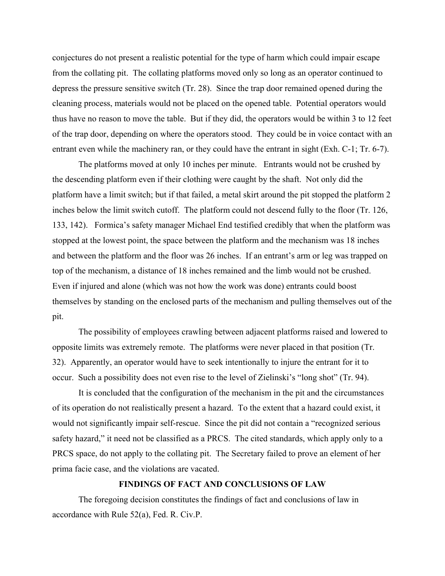conjectures do not present a realistic potential for the type of harm which could impair escape from the collating pit. The collating platforms moved only so long as an operator continued to depress the pressure sensitive switch (Tr. 28). Since the trap door remained opened during the cleaning process, materials would not be placed on the opened table. Potential operators would thus have no reason to move the table. But if they did, the operators would be within 3 to 12 feet of the trap door, depending on where the operators stood. They could be in voice contact with an entrant even while the machinery ran, or they could have the entrant in sight (Exh. C-1; Tr. 6-7).

The platforms moved at only 10 inches per minute. Entrants would not be crushed by the descending platform even if their clothing were caught by the shaft. Not only did the platform have a limit switch; but if that failed, a metal skirt around the pit stopped the platform 2 inches below the limit switch cutoff. The platform could not descend fully to the floor (Tr. 126, 133, 142). Formica's safety manager Michael End testified credibly that when the platform was stopped at the lowest point, the space between the platform and the mechanism was 18 inches and between the platform and the floor was 26 inches. If an entrant's arm or leg was trapped on top of the mechanism, a distance of 18 inches remained and the limb would not be crushed. Even if injured and alone (which was not how the work was done) entrants could boost themselves by standing on the enclosed parts of the mechanism and pulling themselves out of the pit.

The possibility of employees crawling between adjacent platforms raised and lowered to opposite limits was extremely remote. The platforms were never placed in that position (Tr. 32). Apparently, an operator would have to seek intentionally to injure the entrant for it to occur. Such a possibility does not even rise to the level of Zielinski's "long shot" (Tr. 94).

It is concluded that the configuration of the mechanism in the pit and the circumstances of its operation do not realistically present a hazard. To the extent that a hazard could exist, it would not significantly impair self-rescue. Since the pit did not contain a "recognized serious safety hazard," it need not be classified as a PRCS. The cited standards, which apply only to a PRCS space, do not apply to the collating pit. The Secretary failed to prove an element of her prima facie case, and the violations are vacated.

#### **FINDINGS OF FACT AND CONCLUSIONS OF LAW**

The foregoing decision constitutes the findings of fact and conclusions of law in accordance with Rule 52(a), Fed. R. Civ.P.